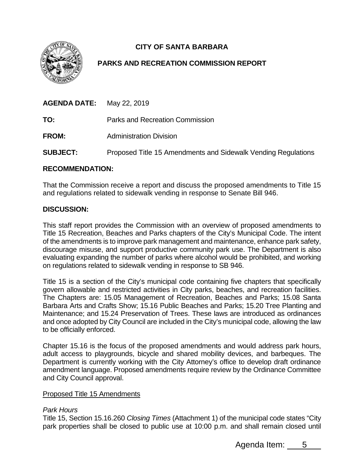

# **CITY OF SANTA BARBARA**

## **PARKS AND RECREATION COMMISSION REPORT**

| <b>AGENDA DATE:</b> | May 22, 2019                                                  |
|---------------------|---------------------------------------------------------------|
| TO:                 | Parks and Recreation Commission                               |
| <b>FROM:</b>        | <b>Administration Division</b>                                |
| <b>SUBJECT:</b>     | Proposed Title 15 Amendments and Sidewalk Vending Regulations |

#### **RECOMMENDATION:**

That the Commission receive a report and discuss the proposed amendments to Title 15 and regulations related to sidewalk vending in response to Senate Bill 946.

#### **DISCUSSION:**

This staff report provides the Commission with an overview of proposed amendments to Title 15 Recreation, Beaches and Parks chapters of the City's Municipal Code. The intent of the amendments is to improve park management and maintenance, enhance park safety, discourage misuse, and support productive community park use. The Department is also evaluating expanding the number of parks where alcohol would be prohibited, and working on regulations related to sidewalk vending in response to SB 946.

Title 15 is a section of the City's municipal code containing five chapters that specifically govern allowable and restricted activities in City parks, beaches, and recreation facilities. The Chapters are: 15.05 Management of Recreation, Beaches and Parks; 15.08 Santa Barbara Arts and Crafts Show; 15.16 Public Beaches and Parks; 15.20 Tree Planting and Maintenance; and 15.24 Preservation of Trees. These laws are introduced as ordinances and once adopted by City Council are included in the City's municipal code, allowing the law to be officially enforced.

Chapter 15.16 is the focus of the proposed amendments and would address park hours, adult access to playgrounds, bicycle and shared mobility devices, and barbeques. The Department is currently working with the City Attorney's office to develop draft ordinance amendment language. Proposed amendments require review by the Ordinance Committee and City Council approval.

#### Proposed Title 15 Amendments

#### *Park Hours*

Title 15, Section 15.16.260 *Closing Times* (Attachment 1) of the municipal code states "City park properties shall be closed to public use at 10:00 p.m. and shall remain closed until

Agenda Item: 5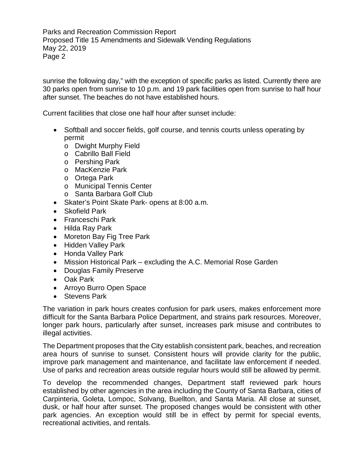sunrise the following day," with the exception of specific parks as listed. Currently there are 30 parks open from sunrise to 10 p.m. and 19 park facilities open from sunrise to half hour after sunset. The beaches do not have established hours.

Current facilities that close one half hour after sunset include:

- Softball and soccer fields, golf course, and tennis courts unless operating by permit
	- o Dwight Murphy Field
	- o Cabrillo Ball Field
	- o Pershing Park
	- o MacKenzie Park
	- o Ortega Park
	- o Municipal Tennis Center
	- o Santa Barbara Golf Club
- Skater's Point Skate Park- opens at 8:00 a.m.
- Skofield Park
- Franceschi Park
- Hilda Ray Park
- Moreton Bay Fig Tree Park
- Hidden Valley Park
- Honda Valley Park
- Mission Historical Park excluding the A.C. Memorial Rose Garden
- Douglas Family Preserve
- Oak Park
- Arroyo Burro Open Space
- Stevens Park

The variation in park hours creates confusion for park users, makes enforcement more difficult for the Santa Barbara Police Department, and strains park resources. Moreover, longer park hours, particularly after sunset, increases park misuse and contributes to illegal activities.

The Department proposes that the City establish consistent park, beaches, and recreation area hours of sunrise to sunset. Consistent hours will provide clarity for the public, improve park management and maintenance, and facilitate law enforcement if needed. Use of parks and recreation areas outside regular hours would still be allowed by permit.

To develop the recommended changes, Department staff reviewed park hours established by other agencies in the area including the County of Santa Barbara, cities of Carpinteria, Goleta, Lompoc, Solvang, Buellton, and Santa Maria. All close at sunset, dusk, or half hour after sunset. The proposed changes would be consistent with other park agencies. An exception would still be in effect by permit for special events, recreational activities, and rentals.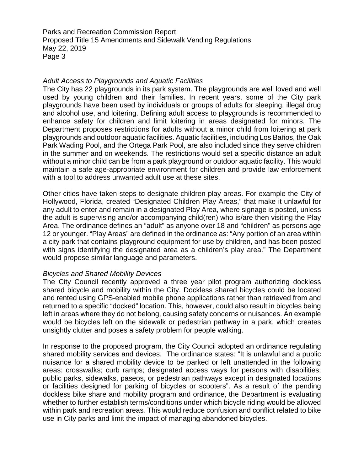#### *Adult Access to Playgrounds and Aquatic Facilities*

The City has 22 playgrounds in its park system. The playgrounds are well loved and well used by young children and their families. In recent years, some of the City park playgrounds have been used by individuals or groups of adults for sleeping, illegal drug and alcohol use, and loitering. Defining adult access to playgrounds is recommended to enhance safety for children and limit loitering in areas designated for minors. The Department proposes restrictions for adults without a minor child from loitering at park playgrounds and outdoor aquatic facilities. Aquatic facilities, including Los Baños, the Oak Park Wading Pool, and the Ortega Park Pool, are also included since they serve children in the summer and on weekends. The restrictions would set a specific distance an adult without a minor child can be from a park playground or outdoor aquatic facility. This would maintain a safe age-appropriate environment for children and provide law enforcement with a tool to address unwanted adult use at these sites.

Other cities have taken steps to designate children play areas. For example the City of Hollywood, Florida, created "Designated Children Play Areas," that make it unlawful for any adult to enter and remain in a designated Play Area, where signage is posted, unless the adult is supervising and/or accompanying child(ren) who is/are then visiting the Play Area. The ordinance defines an "adult" as anyone over 18 and "children" as persons age 12 or younger. "Play Areas" are defined in the ordinance as: "Any portion of an area within a city park that contains playground equipment for use by children, and has been posted with signs identifying the designated area as a children's play area." The Department would propose similar language and parameters.

#### *Bicycles and Shared Mobility Devices*

The City Council recently approved a three year pilot program authorizing dockless shared bicycle and mobility within the City. Dockless shared bicycles could be located and rented using GPS-enabled mobile phone applications rather than retrieved from and returned to a specific "docked" location. This, however, could also result in bicycles being left in areas where they do not belong, causing safety concerns or nuisances. An example would be bicycles left on the sidewalk or pedestrian pathway in a park, which creates unsightly clutter and poses a safety problem for people walking.

In response to the proposed program, the City Council adopted an ordinance regulating shared mobility services and devices. The ordinance states: "It is unlawful and a public nuisance for a shared mobility device to be parked or left unattended in the following areas: crosswalks; curb ramps; designated access ways for persons with disabilities; public parks, sidewalks, paseos, or pedestrian pathways except in designated locations or facilities designed for parking of bicycles or scooters". As a result of the pending dockless bike share and mobility program and ordinance, the Department is evaluating whether to further establish terms/conditions under which bicycle riding would be allowed within park and recreation areas*.* This would reduce confusion and conflict related to bike use in City parks and limit the impact of managing abandoned bicycles.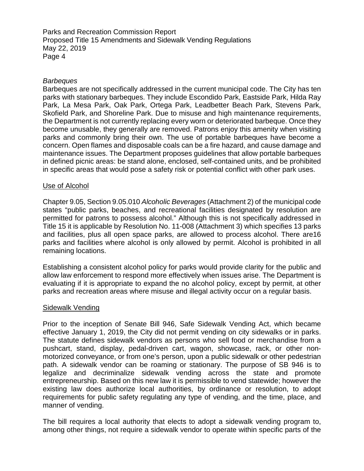#### *Barbeques*

Barbeques are not specifically addressed in the current municipal code. The City has ten parks with stationary barbeques. They include Escondido Park, Eastside Park, Hilda Ray Park, La Mesa Park, Oak Park, Ortega Park, Leadbetter Beach Park, Stevens Park, Skofield Park, and Shoreline Park. Due to misuse and high maintenance requirements, the Department is not currently replacing every worn or deteriorated barbeque. Once they become unusable, they generally are removed. Patrons enjoy this amenity when visiting parks and commonly bring their own. The use of portable barbeques have become a concern. Open flames and disposable coals can be a fire hazard, and cause damage and maintenance issues. The Department proposes guidelines that allow portable barbeques in defined picnic areas: be stand alone, enclosed, self-contained units, and be prohibited in specific areas that would pose a safety risk or potential conflict with other park uses.

### Use of Alcohol

Chapter 9.05, Section 9.05.010 *Alcoholic Beverages* (Attachment 2) of the municipal code states "public parks, beaches, and recreational facilities designated by resolution are permitted for patrons to possess alcohol." Although this is not specifically addressed in Title 15 it is applicable by Resolution No. 11-008 (Attachment 3) which specifies 13 parks and facilities, plus all open space parks, are allowed to process alcohol. There are16 parks and facilities where alcohol is only allowed by permit. Alcohol is prohibited in all remaining locations.

Establishing a consistent alcohol policy for parks would provide clarity for the public and allow law enforcement to respond more effectively when issues arise. The Department is evaluating if it is appropriate to expand the no alcohol policy, except by permit, at other parks and recreation areas where misuse and illegal activity occur on a regular basis.

#### Sidewalk Vending

Prior to the inception of Senate Bill 946, Safe Sidewalk Vending Act, which became effective January 1, 2019, the City did not permit vending on city sidewalks or in parks. The statute defines sidewalk vendors as persons who sell food or merchandise from a pushcart, stand, display, pedal-driven cart, wagon, showcase, rack, or other nonmotorized conveyance, or from one's person, upon a public sidewalk or other pedestrian path. A sidewalk vendor can be roaming or stationary. The purpose of SB 946 is to legalize and decriminalize sidewalk vending across the state and promote entrepreneurship. Based on this new law it is permissible to vend statewide; however the existing law does authorize local authorities, by ordinance or resolution, to adopt requirements for public safety regulating any type of vending, and the time, place, and manner of vending.

The bill requires a local authority that elects to adopt a sidewalk vending program to, among other things, not require a sidewalk vendor to operate within specific parts of the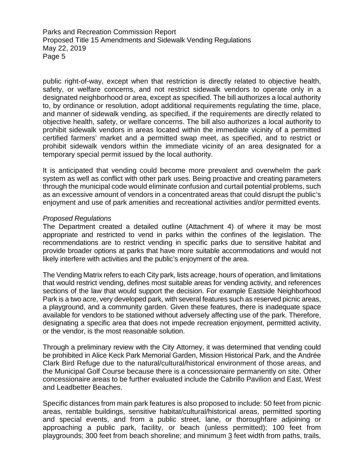public right-of-way, except when that restriction is directly related to objective health, safety, or welfare concerns, and not restrict sidewalk vendors to operate only in a designated neighborhood or area, except as specified. The bill authorizes a local authority to, by ordinance or resolution, adopt additional requirements regulating the time, place, and manner of sidewalk vending, as specified, if the requirements are directly related to objective health, safety, or welfare concerns. The bill also authorizes a local authority to prohibit sidewalk vendors in areas located within the immediate vicinity of a permitted certified farmers' market and a permitted swap meet, as specified, and to restrict or prohibit sidewalk vendors within the immediate vicinity of an area designated for a temporary special permit issued by the local authority.

It is anticipated that vending could become more prevalent and overwhelm the park system as well as conflict with other park uses. Being proactive and creating parameters through the municipal code would eliminate confusion and curtail potential problems, such as an excessive amount of vendors in a concentrated areas that could disrupt the public's enjoyment and use of park amenities and recreational activities and/or permitted events.

#### *Proposed Regulations*

The Department created a detailed outline (Attachment 4) of where it may be most appropriate and restricted to vend in parks within the confines of the legislation. The recommendations are to restrict vending in specific parks due to sensitive habitat and provide broader options at parks that have more suitable accommodations and would not likely interfere with activities and the public's enjoyment of the area.

The Vending Matrix refers to each City park, lists acreage, hours of operation, and limitations that would restrict vending, defines most suitable areas for vending activity, and references sections of the law that would support the decision. For example Eastside Neighborhood Park is a two acre, very developed park, with several features such as reserved picnic areas, a playground, and a community garden. Given these features, there is inadequate space available for vendors to be stationed without adversely affecting use of the park. Therefore, designating a specific area that does not impede recreation enjoyment, permitted activity, or the vendor, is the most reasonable solution.

Through a preliminary review with the City Attorney, it was determined that vending could be prohibited in Alice Keck Park Memorial Garden, Mission Historical Park, and the Andrée Clark Bird Refuge due to the natural/cultural/historical environment of those areas, and the Municipal Golf Course because there is a concessionaire permanently on site. Other concessionaire areas to be further evaluated include the Cabrillo Pavilion and East, West and Leadbetter Beaches.

Specific distances from main park features is also proposed to include: 50 feet from picnic areas, rentable buildings, sensitive habitat/cultural/historical areas, permitted sporting and special events, and from a public street, lane, or thoroughfare adjoining or approaching a public park, facility, or beach (unless permitted); 100 feet from playgrounds; 300 feet from beach shoreline; and minimum 3 feet width from paths, trails,